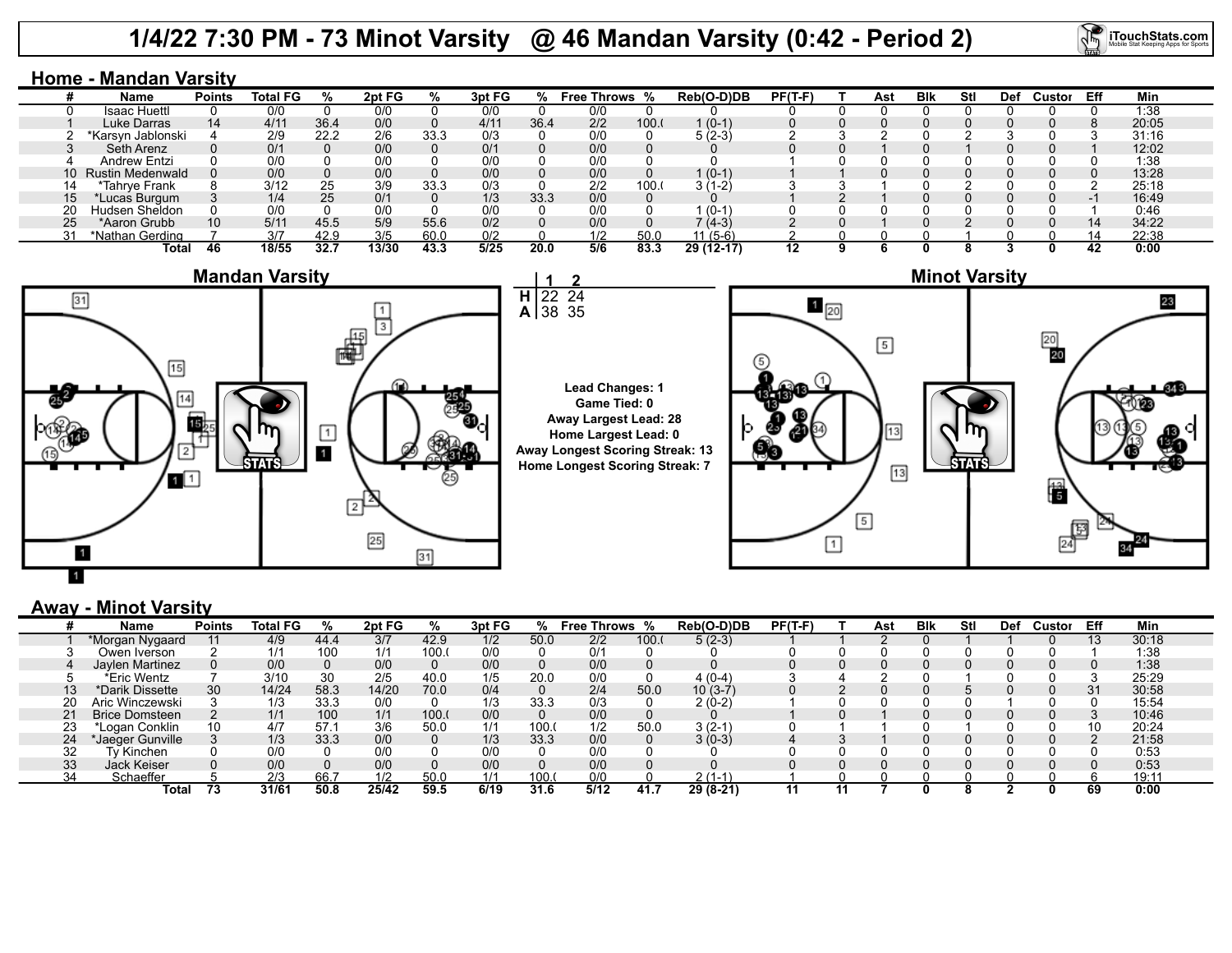## **1/4/22 7:30 PM - 73 Minot Varsity @ 46 Mandan Varsity (0:42 - Period 2)**



### **Home - Mandan Varsity**

|  | Name                | <b>Points</b> | Total FG |      | 2pt FG | $\frac{1}{2}$ | 3pt FG |      | Free Throws % |       | Reb(O-D)DB | $PF(T-F)$ | Ast | Blk | Stl | Def | Custor | Eff | Min   |
|--|---------------------|---------------|----------|------|--------|---------------|--------|------|---------------|-------|------------|-----------|-----|-----|-----|-----|--------|-----|-------|
|  | Isaac Huettl        |               | 0/0      |      | 0/0    |               | 0/0    |      | 0/0           |       |            |           |     |     |     |     |        |     | 1:38  |
|  | Luke Darras         | 14            | 4/1'     | 36.4 | 0/0    |               | 4/11   | 36.4 | 2/2           | 100.0 | $1(0-1)$   |           |     |     |     |     |        |     | 20:05 |
|  | *Karsyn Jablonski   |               | 2/9      | 22.2 | 2/6    | 33.3          | 0/3    |      | 0/0           |       | 5 (2-3)    |           |     |     |     |     |        |     | 31:16 |
|  | Seth Arenz          |               | 0/1      |      | 0/0    |               | 0/1    |      | 0/0           |       |            |           |     |     |     |     |        |     | 12:02 |
|  | Andrew Entzi        |               | 0/0      |      | 0/0    |               | 0/0    |      | 0/0           |       |            |           |     |     |     |     |        |     | 1:38  |
|  | 10 Rustin Medenwald |               | 0/0      |      | 0/0    |               | 0/0    |      | 0/0           |       | $1(0-1)$   |           |     |     |     |     |        |     | 13:28 |
|  | *Tahrye Frank       |               | 3/12     | 25   | 3/9    | 33.3          | 0/3    |      | 2/2           | 100.0 | $3(1-2)$   |           |     |     |     |     |        |     | 25:18 |
|  | *Lucas Burgum       |               | 1/4      | 25   | 0/1    |               | 1/3    | 33.3 | 0/0           |       |            |           |     |     |     |     |        |     | 16:49 |
|  | Hudsen Sheldon      |               | 0/0      |      | 0/0    |               | 0/0    |      | 0/0           |       | $(0-1)$    |           |     |     |     |     |        |     | 0:46  |
|  | *Aaron Grubb        | 10            | 5/11     | 45.5 | 5/9    | 55.6          | 0/2    |      | 0/0           |       | $(4-3)$    |           |     |     |     |     |        | 14  | 34:22 |
|  | *Nathan Gerding     |               | 3/7      | 42.9 | 3/5    | 60.0          | 0/2    |      | 1/2           | 50.0  | 11 (5-6)   |           |     |     |     |     |        |     | 22:38 |
|  | Total               |               | 18/55    | 32.7 | 13/30  | 43.3          | 5/25   | 20.0 | 5/6           | 83.3  | 29 (12-17) | 12        |     |     |     |     |        |     | 0:00  |





#### **Lead Changes: 1 Game Tied: 0 Away Largest Lead: 28 Home Largest Lead: 0 Away Longest Scoring Streak: 13 Home Longest Scoring Streak: 7**



### **Away - Minot Varsity**

|    | Name                  | <b>Points</b> | <b>Total FG</b> | %    | 2pt FG | ℅     | 3pt FG | ℅    | <b>Free Throws %</b> |      | Reb(O-D)DB | $PF(T-F)$ | Ast | <b>B</b> lk | <b>Stl</b> | Def | Custor | Eff | Min   |
|----|-----------------------|---------------|-----------------|------|--------|-------|--------|------|----------------------|------|------------|-----------|-----|-------------|------------|-----|--------|-----|-------|
|    | *Morgan Nygaard       |               | 4/9             | 44.4 | 3/7    | 42.9  | 1/2    | 50.0 | 2/2                  | 100. | $5(2-3)$   |           |     |             |            |     |        | 13  | 30:18 |
|    | Owen Iverson          |               | 1/1             | 100  | 1/1    | 100.  | 0/0    |      | 0/1                  |      |            |           |     |             |            |     |        |     | 1:38  |
|    | Jaylen Martinez       | 0             | 0/0             |      | 0/0    |       | 0/0    |      | 0/0                  |      |            |           |     |             |            |     |        |     | 1:38  |
|    | *Eric Wentz           |               | 3/10            | 30   | 2/5    | 40.0  | 1/5    | 20.0 | 0/0                  |      | $4(0-4)$   |           |     |             |            |     |        |     | 25:29 |
| 13 | *Darik Dissette       | 30            | 14/24           | 58.3 | 14/20  | 70.0  | 0/4    |      | 2/4                  | 50.0 | $10(3-7)$  |           |     |             |            |     |        |     | 30:58 |
| 20 | Aric Winczewski       |               | 1/3             | 33.3 | 0/0    |       | 1/3    | 33.3 | 0/3                  |      | 2 (0-2)    |           |     |             |            |     |        |     | 15:54 |
|    | <b>Brice Domsteen</b> |               | 1/1             | 100  | 1/1    | 100.1 | 0/0    |      | 0/0                  |      |            |           |     |             |            |     |        |     | 10:46 |
| 23 | Logan Conklin         | 10            | 4/7             | 57.1 | 3/6    | 50.0  | 1/1    | 100. | 1/2                  | 50.0 | $3(2-1)$   |           |     |             |            |     |        | 10  | 20:24 |
| 24 | *Jaeger Gunville      |               | 1/3             | 33.3 | 0/0    |       | 1/3    | 33.3 | 0/0                  |      | $3(0-3)$   |           |     |             |            |     |        |     | 21:58 |
| 32 | Tv Kinchen            |               | 0/0             |      | 0/0    |       | 0/0    |      | 0/0                  |      |            |           |     |             |            |     |        |     | 0:53  |
| 33 | Jack Keiser           |               | 0/0             |      | 0/0    |       | 0/0    |      | 0/0                  |      |            |           |     |             |            |     |        |     | 0:53  |
|    | Schaeffer             |               | 2/3             | 66.  | 1/2    | 50.0  |        | 100. | 0/0                  |      | $2(1-1)$   |           |     |             |            |     |        |     | 19:11 |
|    | Total                 |               | 31/61           | 50.8 | 25/42  | 59.5  | 6/19   | 31.6 | 5/12                 | 41.7 | 29 (8-21)  |           |     |             |            |     |        | 69  | 0:00  |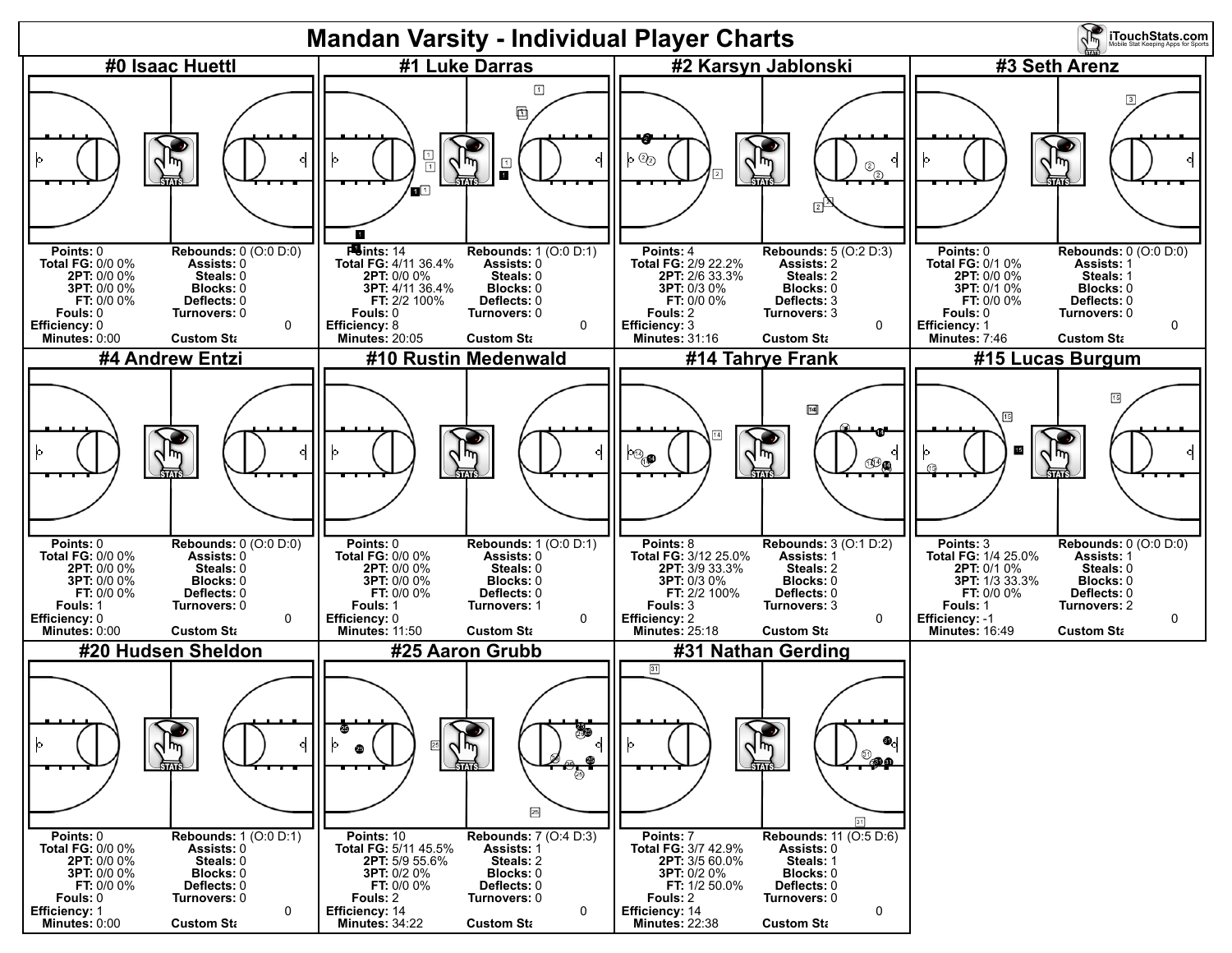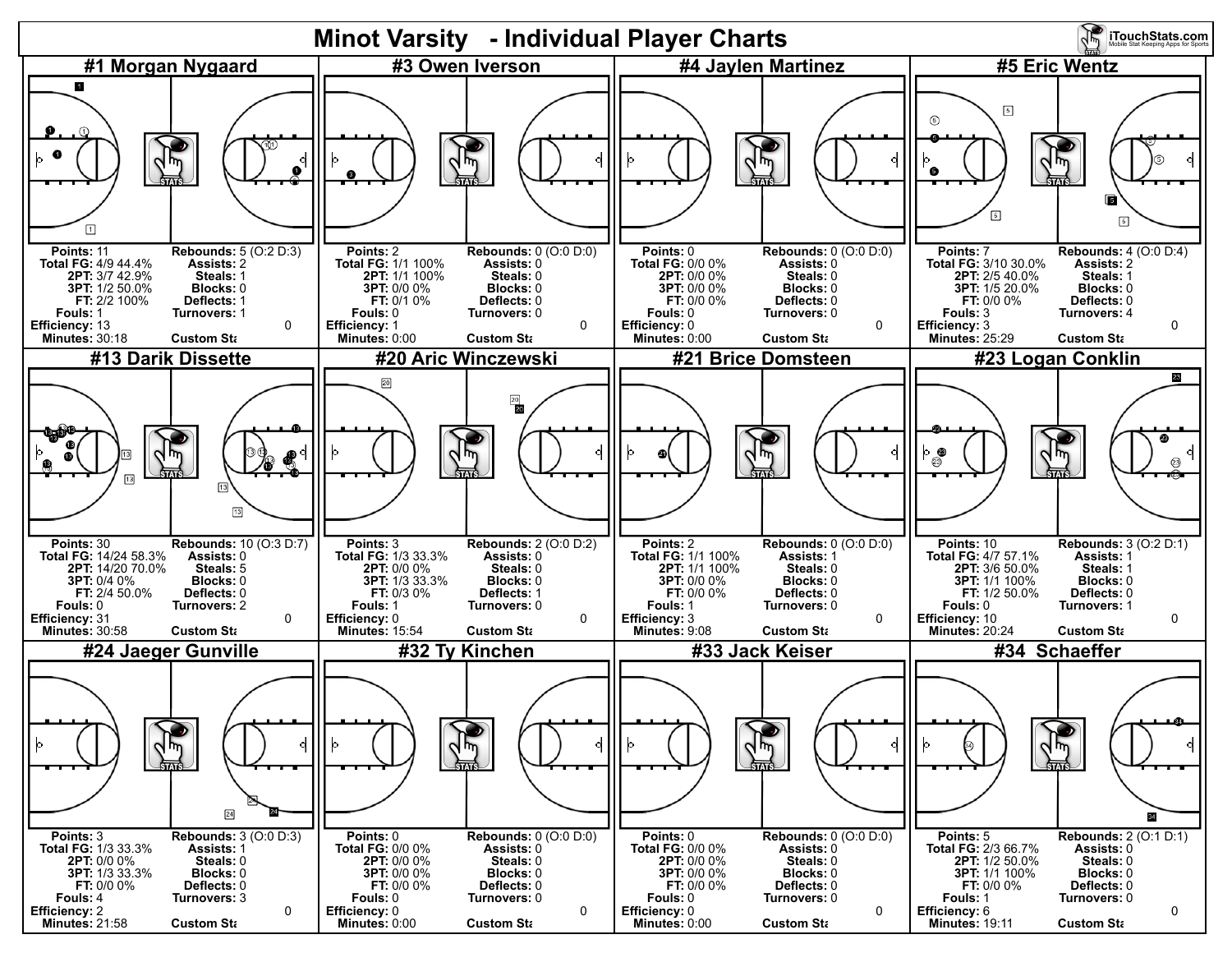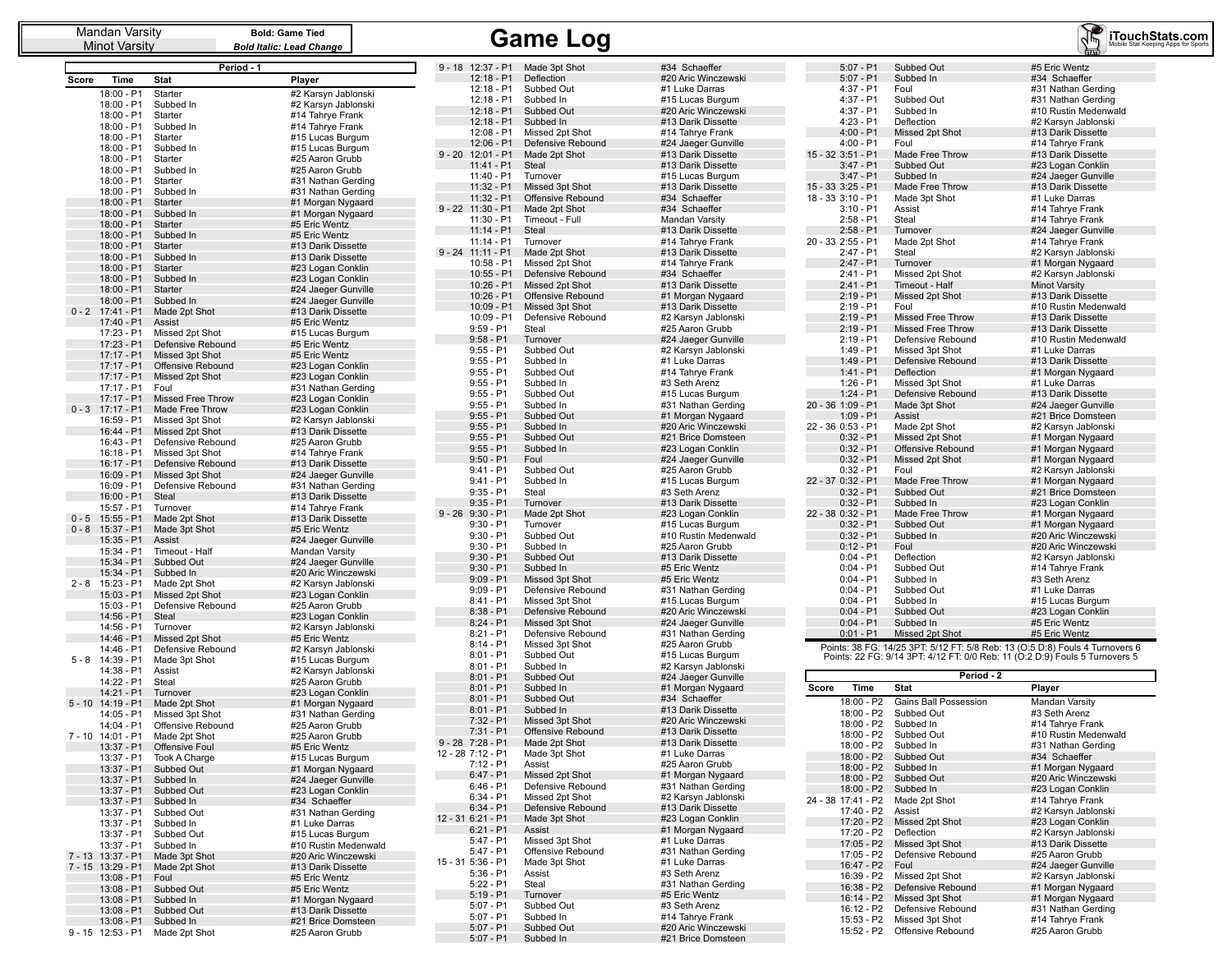Minot Varsity

**Bold: Game Tied** *Bold Italic: Lead Change*

# Mandan Varsity **Game Sold: Game Tied**<br>
Minot Varsity **Game Bold Italic: Lead Change**

D

F

п

п

D

|          |                            | Period - 1                           |                                           |
|----------|----------------------------|--------------------------------------|-------------------------------------------|
| Score    | Time                       | Stat                                 | Player                                    |
|          | 18:00 - P1                 | Starter                              | #2 Karsyn Jablonski                       |
|          | 18:00 - P1                 | Subbed In                            | #2 Karsyn Jablonski                       |
|          | 18:00 - P1                 | Starter                              | #14 Tahrye Frank                          |
|          | 18:00 - P1                 | Subbed In                            | #14 Tahrye Frank                          |
|          | 18:00 - P1                 | Starter                              | #15 Lucas Burgum                          |
|          | 18:00 - P1<br>18:00 - P1   | Subbed In<br>Starter                 | #15 Lucas Burgum<br>#25 Aaron Grubb       |
|          | 18:00 - P1                 | Subbed In                            | #25 Aaron Grubb                           |
|          | 18:00 - P1                 | Starter                              | #31 Nathan Gerding                        |
|          | 18:00 - P1                 | Subbed In                            | #31 Nathan Gerding                        |
|          | 18:00 - P1                 | Starter                              | #1 Morgan Nygaard                         |
|          | 18:00 - P1                 | Subbed In                            | #1 Morgan Nygaard                         |
|          | 18:00 - P1                 | <b>Starter</b>                       | #5 Eric Wentz                             |
|          | 18:00 - P1<br>18:00 - P1   | Subbed In<br>Starter                 | #5 Eric Wentz<br>#13 Darik Dissette       |
|          | 18:00 - P1                 | Subbed In                            | #13 Darik Dissette                        |
|          | 18:00 - P1                 | <b>Starter</b>                       | #23 Logan Conklin                         |
|          | 18:00 - P1                 | Subbed In                            | #23 Logan Conklin                         |
|          | 18:00 - P1                 | Starter                              | #24 Jaeger Gunville                       |
|          | 18:00 - P1                 | Subbed In                            | #24 Jaeger Gunville                       |
| $0 - 2$  | 17:41 - P1<br>17:40 - P1   | Made 2pt Shot<br>Assist              | #13 Darik Dissette<br>#5 Eric Wentz       |
|          | 17:23 - P1                 | Missed 2pt Shot                      | #15 Lucas Burgum                          |
|          | 17:23 - P1                 | Defensive Rebound                    | #5 Eric Wentz                             |
|          | 17:17 - P1                 | Missed 3pt Shot                      | #5 Eric Wentz                             |
|          | 17:17 - P1                 | Offensive Rebound                    | #23 Logan Conklin                         |
|          | $17:17 - P1$               | Missed 2pt Shot                      | #23 Logan Conklin                         |
|          | 17:17 - P1<br>17:17 - P1   | Foul<br>Missed Free Throw            | #31 Nathan Gerding<br>#23 Logan Conklin   |
| $0 - 3$  | $17:17 - P1$               | Made Free Throw                      | #23 Logan Conklin                         |
|          | 16:59 - P1                 | Missed 3pt Shot                      | #2 Karsyn Jablonski                       |
|          | 16:44 - P1                 | Missed 2pt Shot                      | #13 Darik Dissette                        |
|          | 16:43 - P1                 | Defensive Rebound                    | #25 Aaron Grubb                           |
|          | 16:18 - P1                 | Missed 3pt Shot                      | #14 Tahrye Frank                          |
|          | 16:17 - P1<br>16:09 - P1   | Defensive Rebound<br>Missed 3pt Shot | #13 Darik Dissette<br>#24 Jaeger Gunville |
|          | 16:09 - P1                 | Defensive Rebound                    | #31 Nathan Gerding                        |
|          | 16:00 - P1                 | <b>Steal</b>                         | #13 Darik Dissette                        |
|          | 15:57 - P1                 | Turnover                             | #14 Tahrye Frank                          |
| $0 - 5$  | $15:55 - P1$               | Made 2pt Shot                        | #13 Darik Dissette                        |
| $0 - 8$  | 15:37 - P1                 | Made 3pt Shot                        | #5 Eric Wentz                             |
|          | 15:35 - P1<br>15:34 - P1   | Assist<br>Timeout - Half             | #24 Jaeger Gunville<br>Mandan Varsity     |
|          | 15:34 - P1                 | Subbed Out                           | #24 Jaeger Gunville                       |
|          | 15:34 - P1                 | Subbed In                            | #20 Aric Winczewski                       |
| $2 - 8$  | 15:23 - P1                 | Made 2pt Shot                        | #2 Karsyn Jablonski                       |
|          | 15:03 - P1                 | Missed 2pt Shot                      | #23 Logan Conklin                         |
|          | 15:03 - P1                 | Defensive Rebound<br>Steal           | #25 Aaron Grubb                           |
|          | 14:56 - P1<br>14:56 - P1   | Turnover                             | #23 Logan Conklin<br>#2 Karsyn Jablonski  |
|          | 14:46 - P1                 | Missed 2pt Shot                      | #5 Eric Wentz                             |
|          | 14:46 - P1                 | Defensive Rebound                    | #2 Karsyn Jablonski                       |
| $5 - 8$  | 14:39 - P1                 | Made 3pt Shot                        | #15 Lucas Burgum                          |
|          | 14:38 - P1                 | Assist                               | #2 Karsyn Jablonski                       |
|          | 14:22 - P1<br>14:21 - P1   | Steal<br>Turnover                    | #25 Aaron Grubb<br>#23 Logan Conklin      |
| $5 - 10$ | 14:19 - P1                 | Made 2pt Shot                        | #1 Morgan Nygaard                         |
|          | 14:05 - P1                 | Missed 3pt Shot                      | #31 Nathan Gerding                        |
|          | 14:04 - P1                 | Offensive Rebound                    | #25 Aaron Grubb                           |
| $7 - 10$ | 14:01 - P1                 | Made 2pt Shot                        | #25 Aaron Grubb                           |
|          | $13:37 - P1$<br>13:37 - P1 | <b>Offensive Foul</b>                | #5 Eric Wentz                             |
|          | 13:37 - P1                 | Took A Charge<br>Subbed Out          | #15 Lucas Burgum<br>#1 Morgan Nygaard     |
|          | 13:37 - P1                 | Subbed In                            | #24 Jaeger Gunville                       |
|          | 13:37 - P1                 | Subbed Out                           | #23 Logan Conklin                         |
|          | 13:37 - P1                 | Subbed In                            | #34 Schaeffer                             |
|          | 13:37 - P1                 | Subbed Out                           | #31 Nathan Gerding                        |
|          | 13:37 - P1                 | Subbed In                            | #1 Luke Darras                            |
|          | 13:37 - P1<br>13:37 - P1   | Subbed Out<br>Subbed In              | #15 Lucas Burgum<br>#10 Rustin Medenwald  |
| $7 - 13$ | 13:37 - P1                 | Made 3pt Shot                        | #20 Aric Winczewski                       |
| $7 - 15$ | 13:29 - P1                 | Made 2pt Shot                        | #13 Darik Dissette                        |
|          | $13:08 - P1$               | Foul                                 | #5 Eric Wentz                             |
|          | 13:08 - P1                 | Subbed Out                           | #5 Eric Wentz                             |
|          | 13:08 - P1                 | Subbed In                            | #1 Morgan Nygaard<br>#13 Darik Dissette   |
|          | 13:08 - P1<br>13:08 - P1   | Subbed Out<br>Subbed In              | #21 Brice Domsteen                        |
|          | $9 - 15$ 12:53 - P1        | Made 2pt Shot                        | #25 Aaron Grubb                           |

| $9 - 18$ | 12:37 - P1                 | Made 3pt Shot                        | #34 Schaeffer                              |
|----------|----------------------------|--------------------------------------|--------------------------------------------|
|          | $12:18 - P1$               | Deflection                           | #20 Aric Winczewski                        |
|          | 12:18 - P1                 | Subbed Out                           | #1 Luke Darras                             |
|          | $12:18 - P1$               | Subbed In                            | #15 Lucas Burgum                           |
|          | 12:18 - P1                 | Subbed Out                           | #20 Aric Winczewski                        |
|          | 12:18 - P1                 | Subbed In                            | #13 Darik Dissette                         |
|          | 12:08 - P1                 | Missed 2pt Shot                      | #14 Tahrye Frank                           |
|          | 12:06 - P1                 | Defensive Rebound                    | #24 Jaeger Gunville                        |
|          | 9 - 20 12:01 - P1          | Made 2pt Shot                        | #13 Darik Dissette                         |
|          | 11:41 - P1                 | Steal                                | #13 Darik Dissette                         |
|          | 11:40 - P1<br>11:32 - P1   | Turnover                             | #15 Lucas Burgum<br>#13 Darik Dissette     |
|          | 11:32 - P1                 | Missed 3pt Shot<br>Offensive Rebound | #34 Schaeffer                              |
| $9 - 22$ | $11:30 - P1$               | Made 2pt Shot                        | #34 Schaeffer                              |
|          | 11:30 - P1                 | Timeout - Full                       | Mandan Varsity                             |
|          | 11:14 - P1                 | Steal                                | #13 Darik Dissette                         |
|          | 11:14 - P1                 | Turnover                             | #14 Tahrye Frank                           |
| $9 - 24$ | $11:11 - P1$               | Made 2pt Shot                        | #13 Darik Dissette                         |
|          | $10:58 - P1$               | Missed 2pt Shot                      | #14 Tahrye Frank                           |
|          | 10:55 - P1                 | Defensive Rebound                    | #34 Schaeffer                              |
|          | 10:26 - P1                 | Missed 2pt Shot                      | #13 Darik Dissette                         |
|          | 10:26 - P1                 | Offensive Rebound                    | #1 Morgan Nygaard                          |
|          | 10:09 - P1                 | Missed 3pt Shot                      | #13 Darik Dissette                         |
|          | 10:09 - P1                 | Defensive Rebound                    | #2 Karsyn Jablonski                        |
|          | $9:59 - P1$                | Steal                                | #25 Aaron Grubb                            |
|          | $9:58 - P1$                | Turnover<br>Subbed Out               | #24 Jaeger Gunville                        |
|          | 9:55 - P1<br>$9:55 - P1$   | Subbed In                            | #2 Karsyn Jablonski<br>#1 Luke Darras      |
|          | $9:55 - P1$                | Subbed Out                           | #14 Tahrye Frank                           |
|          | $9:55 - P1$                | Subbed In                            | #3 Seth Arenz                              |
|          | $9:55 - P1$                | Subbed Out                           | #15 Lucas Burgum                           |
|          | $9:55 - P1$                | Subbed In                            | #31 Nathan Gerding                         |
|          | $9:55 - P1$                | Subbed Out                           | #1 Morgan Nygaard                          |
|          | $9:55 - P1$                | Subbed In                            | #20 Aric Winczewski                        |
|          | $9:55 - P1$                | Subbed Out                           | #21 Brice Domsteen                         |
|          | $9:55 - P1$                | Subbed In                            | #23 Logan Conklin                          |
|          | $9:50 - P1$                | Foul                                 | #24 Jaeger Gunville                        |
|          | $9:41 - P1$                | Subbed Out                           | #25 Aaron Grubb                            |
|          | $9:41 - P1$                | Subbed In                            | #15 Lucas Burgum                           |
|          | $9:35 - P1$                | Steal                                | #3 Seth Arenz                              |
|          | $9:35 - P1$                | Turnover                             | #13 Darik Dissette                         |
| $9 - 26$ | $9:30 - P1$                | Made 2pt Shot                        | #23 Logan Conklin                          |
|          | $9:30 - P1$<br>$9:30 - P1$ | Turnover<br>Subbed Out               | #15 Lucas Burgum<br>#10 Rustin Medenwald   |
|          | $9:30 - P1$                | Subbed In                            | #25 Aaron Grubb                            |
|          | $9:30 - P1$                | Subbed Out                           | #13 Darik Dissette                         |
|          | $9:30 - P1$                | Subbed In                            | #5 Eric Wentz                              |
|          | $9:09 - P1$                | Missed 3pt Shot                      | #5 Eric Wentz                              |
|          | $9:09 - P1$                | Defensive Rebound                    | #31 Nathan Gerding                         |
|          | 8:41 - P1                  | Missed 3pt Shot                      | #15 Lucas Burgum                           |
|          | $8:38 - P1$                | Defensive Rebound                    | #20 Aric Winczewski                        |
|          | $8:24 - P1$                | Missed 3pt Shot                      | #24 Jaeger Gunville                        |
|          | $8:21 - P1$                | Defensive Rebound                    | #31 Nathan Gerding                         |
|          | $8:14 - P1$                | Missed 3pt Shot                      | #25 Aaron Grubb                            |
|          | $8:01 - P1$                | Subbed Out<br>Subbed In              | #15 Lucas Burgum                           |
|          | $8:01 - P1$<br>$8:01 - P1$ | Subbed Out                           | #2 Karsyn Jablonski<br>#24 Jaeger Gunville |
|          | $8:01 - P1$                | Subbed In                            | #1 Morgan Nygaard                          |
|          | $8:01 - P1$                | Subbed Out                           | #34 Schaeffer                              |
|          | $8:01 - P1$                | Subbed In                            | #13 Darik Dissette                         |
|          | $7:32 - P1$                | Missed 3pt Shot                      | #20 Aric Winczewski                        |
|          | $7:31 - P1$                | Offensive Rebound                    | #13 Darik Dissette                         |
|          | 9 - 28 7:28 - P1           | Made 2pt Shot                        | #13 Darik Dissette                         |
|          | 12 - 28 7:12 - P1          | Made 3pt Shot                        | #1 Luke Darras                             |
|          | 7:12 - P1                  | Assist                               | #25 Aaron Grubb                            |
|          | 6:47 - P1                  | Missed 2pt Shot                      | #1 Morgan Nygaard                          |
|          | 6:46 - P1                  | Defensive Rebound                    | #31 Nathan Gerding                         |
|          | $6:34 - P1$                | Missed 2pt Shot                      | #2 Karsyn Jablonski                        |
|          | $6:34 - P1$                | Defensive Rebound                    | #13 Darik Dissette                         |
|          | 12 - 31 6:21 - P1          | Made 3pt Shot                        | #23 Logan Conklin                          |
|          | $6:21 - P1$<br>$5:47 - P1$ | Assist<br>Missed 3pt Shot            | #1 Morgan Nygaard                          |
|          | 5:47 - P1                  | Offensive Rebound                    | #1 Luke Darras<br>#31 Nathan Gerding       |
|          | 15 - 31 5:36 - P1          | Made 3pt Shot                        | #1 Luke Darras                             |
|          | 5:36 - P1                  | Assist                               | #3 Seth Arenz                              |
|          | $5:22 - P1$                | Steal                                | #31 Nathan Gerding                         |
|          | $5:19 - P1$                | Turnover                             | #5 Eric Wentz                              |
|          | $5:07 - P1$                | Subbed Out                           | #3 Seth Arenz                              |
|          | $5:07 - P1$                | Subbed In                            | #14 Tahrye Frank                           |
|          | $5:07 - P1$                | Subbed Out                           | #20 Aric Winczewski                        |
|          | $5:07 - P1$                | Subbed In                            | #21 Brice Domsteen                         |

| l Schaeffer                                |       | $5:07 - P1$                            | Subbed (                     |
|--------------------------------------------|-------|----------------------------------------|------------------------------|
| ) Aric Winczewski                          |       | $5:07 - P1$<br>4:37 - P1               | Subbed I                     |
| Luke Darras<br><b>Lucas Burgum</b>         |       | 4:37 - P1                              | Foul<br>Subbed 0             |
| ) Aric Winczewski                          |       | 4:37 - P1                              | Subbed I                     |
| <b>B</b> Darik Dissette                    |       | 4:23 - P1                              | Deflection                   |
| Fahrye Frank<br>Jaeger Gunville            |       | 4:00 - P1<br>4:00 - P1                 | Missed 2<br>Foul             |
| <b>B</b> Darik Dissette                    |       | 15 - 32 3:51 - P1                      | Made Fre                     |
| <b>B</b> Darik Dissette                    |       | $3:47 - P1$                            | Subbed (                     |
| Lucas Burgum                               |       | $3:47 - P1$                            | Subbed I                     |
| B Darik Dissette<br>Schaeffer              |       | 15 - 33 3:25 - P1<br>18 - 33 3:10 - P1 | Made Fre<br>Made 3pt         |
| Schaeffer                                  |       | $3:10 - P1$                            | Assist                       |
| ndan Varsity                               |       | 2:58 - P1                              | Steal                        |
| B Darik Dissette                           |       | $2:58 - P1$                            | Turnover                     |
| Fahrye Frank<br><b>B</b> Darik Dissette    |       | 20 - 33 2:55 - P1<br>2:47 - P1         | Made 2pt<br>Steal            |
| l Tahrye Frank                             |       | $2:47 - P1$                            | Turnover                     |
| Schaeffer                                  |       | 2:41 - P1                              | Missed 2                     |
| 3 Darik Dissette                           |       | 2:41 - P1                              | Timeout -                    |
| Morgan Nygaard<br>3 Darik Dissette         |       | 2:19 - P1<br>$2:19 - P1$               | Missed 2<br>Foul             |
| Karsyn Jablonski                           |       | 2:19 - P1                              | Missed F                     |
| ว์ Aaron Grubb                             |       | 2:19 - P1                              | Missed F                     |
| Jaeger Gunville                            |       | 2:19 - P1                              | <b>Defensive</b>             |
| Karsyn Jablonski<br>Luke Darras            |       | 1:49 - P1<br>$1:49 - P1$               | Missed 3<br><b>Defensive</b> |
| l Tahrye Frank                             |       | 1:41 - P1                              | Deflection                   |
| Seth Arenz                                 |       | $1:26 - P1$                            | Missed 3                     |
| Lucas Burgum                               |       | 1:24 - P1                              | <b>Defensive</b>             |
| <b>Nathan Gerding</b><br>Morgan Nygaard    |       | 20 - 36 1:09 - P1<br>1:09 - P1         | Made 3pt<br>Assist           |
| ) Aric Winczewski                          |       | 22 - 36 0:53 - P1                      | Made 2pt                     |
| <b>Brice Domsteen</b>                      |       | $0:32 - P1$                            | Missed 2                     |
| <b>BLogan Conklin</b>                      |       | 0:32 - P1                              | Offensive                    |
| Jaeger Gunville<br><b>Aaron Grubb</b>      |       | $0:32 - P1$<br>0:32 - P1               | Missed 2<br>Foul             |
| 5 Lucas Burgum                             |       | 22 - 37 0:32 - P1                      | Made Fre                     |
| Seth Arenz                                 |       | $0:32 - P1$                            | Subbed (                     |
| <b>B</b> Darik Dissette                    |       | $0:32 - P1$                            | Subbed I                     |
| 3 Logan Conklin<br>Lucas Burgum            |       | 22 - 38 0:32 - P1<br>$0:32 - P1$       | Made Fre<br>Subbed (         |
| Rustin Medenwald                           |       | $0:32 - P1$                            | Subbed I                     |
| 5 Aaron Grubb                              |       | 0:12 - P1                              | Foul                         |
| B Darik Dissette                           |       | $0:04 - P1$                            | Deflection                   |
| Eric Wentz<br>Eric Wentz                   |       | 0:04 - P1<br>0:04 - P1                 | Subbed (<br>Subbed I         |
| <b>Nathan Gerding</b>                      |       | $0:04 - P1$                            | Subbed (                     |
| Lucas Burgum                               |       | $0:04 - P1$                            | Subbed I                     |
| ) Aric Winczewski                          |       | $0:04 - P1$<br>$0:04 - P1$             | Subbed (                     |
| I Jaeger Gunville<br><b>Nathan Gerding</b> |       | $0:01 - P1$                            | Subbed I<br>Missed 2         |
| 5 Aaron Grubb                              |       | Points: 38 FG: 14/25 3PT: 5            |                              |
| Lucas Burgum                               |       | Points: 22 FG: 9/14 3PT: 4             |                              |
| Karsyn Jablonski<br><b>Jaeger Gunville</b> |       |                                        |                              |
| Morgan Nygaard                             | Score | Time                                   | Stat                         |
| Schaeffer                                  |       | 18:00 - P2                             | Gains Ba                     |
| <b>B</b> Darik Dissette                    |       | 18:00 - P2                             | Subbed (                     |
| Aric Winczewski<br>B Darik Dissette        |       | 18:00 - P2                             | Subbed I                     |
| <b>B</b> Darik Dissette                    |       | 18:00 - P2<br>18:00 - P2               | Subbed (<br>Subbed I         |
| Luke Darras                                |       | 18:00 - P2                             | Subbed 0                     |
| 5 Aaron Grubb                              |       | 18:00 - P2                             | Subbed I                     |
| Morgan Nygaard<br><b>Nathan Gerding</b>    |       | 18:00 - P2                             | Subbed (                     |
| Karsyn Jablonski                           |       | 18:00 - P2<br>24 - 38 17:41 - P2       | Subbed I                     |
| <b>B</b> Darik Dissette                    |       | 17:40 - P2                             | Made 2pt<br>Assist           |
| <b>Logan Conklin</b>                       |       | 17:20 - P2                             | Missed 2                     |
| Morgan Nygaard                             |       | 17:20 - P2                             | Deflection                   |
| Luke Darras                                |       |                                        |                              |
| Nathan Gerding                             |       | 17:05 - P2                             | Missed 3                     |
| Luke Darras                                |       | 17:05 - P2                             | <b>Defensive</b>             |
| Seth Arenz                                 |       | 16:47 - P2<br>16:39 - P2               | Foul<br>Missed 2             |
| <b>Nathan Gerding</b>                      |       | 16:38 - P2                             | <b>Defensive</b>             |
| Eric Wentz<br>Seth Arenz                   |       | 16:14 - P2                             | Missed 3                     |
| l Tahrye Frank<br>) Aric Winczewski        |       | 16:12 - P2<br>15:53 - P2               | <b>Defensive</b><br>Missed 3 |

|                            |                          | <b>iTouchStats.com</b>                                                       |
|----------------------------|--------------------------|------------------------------------------------------------------------------|
| $5:07 - P1$                | Subbed Out               | #5 Eric Wentz                                                                |
| $5:07 - P1$                | Subbed In                | #34 Schaeffer                                                                |
| 4:37 - P1                  | Foul                     | #31 Nathan Gerding                                                           |
| 4:37 - P1                  | Subbed Out               | #31 Nathan Gerding                                                           |
| 4:37 - P1                  | Subbed In                | #10 Rustin Medenwald                                                         |
| $4:23 - P1$                | Deflection               | #2 Karsyn Jablonski                                                          |
| $4:00 - P1$                | Missed 2pt Shot          | #13 Darik Dissette                                                           |
| $4:00 - P1$                | Foul                     | #14 Tahrye Frank                                                             |
| 15 - 32 3:51 - P1          | Made Free Throw          | #13 Darik Dissette                                                           |
| $3:47 - P1$                | Subbed Out               | #23 Logan Conklin                                                            |
| $3:47 - P1$                | Subbed In                | #24 Jaeger Gunville                                                          |
| 15 - 33 3:25 - P1          | Made Free Throw          | #13 Darik Dissette                                                           |
| 18 - 33 3:10 - P1          | Made 3pt Shot            | #1 Luke Darras                                                               |
| $3:10 - P1$                | Assist                   | #14 Tahrye Frank                                                             |
| 2:58 - P1                  | Steal                    | #14 Tahrye Frank                                                             |
| $2:58 - P1$                | Turnover                 | #24 Jaeger Gunville                                                          |
| 20 - 33 2:55 - P1          | Made 2pt Shot            | #14 Tahrye Frank                                                             |
| 2:47 - P1                  | Steal                    | #2 Karsyn Jablonski                                                          |
| $2:47 - P1$                | Turnover                 | #1 Morgan Nygaard                                                            |
| 2:41 - P1                  | Missed 2pt Shot          | #2 Karsyn Jablonski                                                          |
| 2:41 - P1                  | Timeout - Half           | <b>Minot Varsity</b>                                                         |
| 2:19 - P1                  | Missed 2pt Shot          | #13 Darik Dissette                                                           |
| 2:19 - P1                  | Foul                     | #10 Rustin Medenwald                                                         |
| 2:19 - P1                  | <b>Missed Free Throw</b> | #13 Darik Dissette                                                           |
| 2:19 - P1                  | <b>Missed Free Throw</b> | #13 Darik Dissette                                                           |
| 2:19 - P1                  | Defensive Rebound        | #10 Rustin Medenwald                                                         |
| 1:49 - P1                  | Missed 3pt Shot          | #1 Luke Darras                                                               |
| 1:49 - P1                  | Defensive Rebound        | #13 Darik Dissette                                                           |
| 1:41 - P1                  | Deflection               | #1 Morgan Nygaard                                                            |
| 1:26 - P1                  | Missed 3pt Shot          | #1 Luke Darras                                                               |
| 1:24 - P1                  | Defensive Rebound        | #13 Darik Dissette                                                           |
| 20 - 36 1:09 - P1          | Made 3pt Shot            | #24 Jaeger Gunville                                                          |
| $1:09 - P1$                | Assist                   | #21 Brice Domsteen                                                           |
| 22 - 36 0:53 - P1          | Made 2pt Shot            | #2 Karsyn Jablonski                                                          |
| $0:32 - P1$                | Missed 2pt Shot          | #1 Morgan Nygaard                                                            |
| $0:32 - P1$                | Offensive Rebound        | #1 Morgan Nygaard                                                            |
| $0:32 - P1$<br>$0:32 - P1$ | Missed 2pt Shot<br>Foul  | #1 Morgan Nygaard                                                            |
| 22 - 37 0:32 - P1          | Made Free Throw          | #2 Karsyn Jablonski<br>#1 Morgan Nygaard                                     |
| $0:32 - P1$                | Subbed Out               | #21 Brice Domsteen                                                           |
| $0:32 - P1$                | Subbed In                | #23 Logan Conklin                                                            |
| 22 - 38 0:32 - P1          | Made Free Throw          | #1 Morgan Nygaard                                                            |
| $0:32 - P1$                | Subbed Out               | #1 Morgan Nygaard                                                            |
| $0:32 - P1$                | Subbed In                | #20 Aric Winczewski                                                          |
| $0:12 - P1$                | Foul                     | #20 Aric Winczewski                                                          |
| $0:04 - P1$                | Deflection               | #2 Karsyn Jablonski                                                          |
| $0:04 - P1$                | Subbed Out               | #14 Tahrye Frank                                                             |
| $0:04 - P1$                | Subbed In                | #3 Seth Arenz                                                                |
| $0:04 - P1$                | Subbed Out               | #1 Luke Darras                                                               |
| $0:04 - P1$                | Subbed In                | #15 Lucas Burgum                                                             |
| $0:04 - P1$                | Subbed Out               | #23 Logan Conklin                                                            |
| $0:04 - P1$                | Subbed In                | #5 Eric Wentz                                                                |
| $0:01 - P1$                | Missed 2pt Shot          | #5 Eric Wentz                                                                |
|                            |                          | Points: 38 EG: 14/25 3PT: 5/12 ET: 5/8 Reb: 13 (Q:5 D:8) Fouls 4 Turnovers 6 |

Points: 38 FG: 14/25 3PT: 5/12 FT: 5/8 Reb: 13 (O:5 D:8) Fouls 4 Turnovers 6 Points: 22 FG: 9/14 3PT: 4/12 FT: 0/0 Reb: 11 (O:2 D:9) Fouls 5 Turnovers 5

| Period - 2 |                    |                       |                      |  |  |  |  |  |  |
|------------|--------------------|-----------------------|----------------------|--|--|--|--|--|--|
| Score      | Time               | <b>Stat</b>           | Player               |  |  |  |  |  |  |
|            | 18:00 - P2         | Gains Ball Possession | Mandan Varsity       |  |  |  |  |  |  |
|            | 18:00 - P2         | Subbed Out            | #3 Seth Arenz        |  |  |  |  |  |  |
|            | 18:00 - P2         | Subbed In             | #14 Tahrye Frank     |  |  |  |  |  |  |
|            | 18:00 - P2         | Subbed Out            | #10 Rustin Medenwald |  |  |  |  |  |  |
|            | 18:00 - P2         | Subbed In             | #31 Nathan Gerding   |  |  |  |  |  |  |
|            | 18:00 - P2         | Subbed Out            | #34 Schaeffer        |  |  |  |  |  |  |
|            | 18:00 - P2         | Subbed In             | #1 Morgan Nygaard    |  |  |  |  |  |  |
|            | 18:00 - P2         | Subbed Out            | #20 Aric Winczewski  |  |  |  |  |  |  |
|            | 18:00 - P2         | Subbed In             | #23 Logan Conklin    |  |  |  |  |  |  |
|            | 24 - 38 17:41 - P2 | Made 2pt Shot         | #14 Tahrye Frank     |  |  |  |  |  |  |
|            | 17:40 - P2         | Assist                | #2 Karsyn Jablonski  |  |  |  |  |  |  |
|            | 17:20 - P2         | Missed 2pt Shot       | #23 Logan Conklin    |  |  |  |  |  |  |
|            | 17:20 - P2         | Deflection            | #2 Karsyn Jablonski  |  |  |  |  |  |  |
|            | 17:05 - P2         | Missed 3pt Shot       | #13 Darik Dissette   |  |  |  |  |  |  |
|            | 17:05 - P2         | Defensive Rebound     | #25 Aaron Grubb      |  |  |  |  |  |  |
|            | 16:47 - P2         | Foul                  | #24 Jaeger Gunville  |  |  |  |  |  |  |
|            | 16:39 - P2         | Missed 2pt Shot       | #2 Karsyn Jablonski  |  |  |  |  |  |  |
|            | 16:38 - P2         | Defensive Rebound     | #1 Morgan Nygaard    |  |  |  |  |  |  |
|            | 16:14 - P2         | Missed 3pt Shot       | #1 Morgan Nygaard    |  |  |  |  |  |  |
|            | 16:12 - P2         | Defensive Rebound     | #31 Nathan Gerding   |  |  |  |  |  |  |
|            | 15:53 - P2         | Missed 3pt Shot       | #14 Tahrye Frank     |  |  |  |  |  |  |
|            | 15:52 - P2         | Offensive Rebound     | #25 Aaron Grubb      |  |  |  |  |  |  |